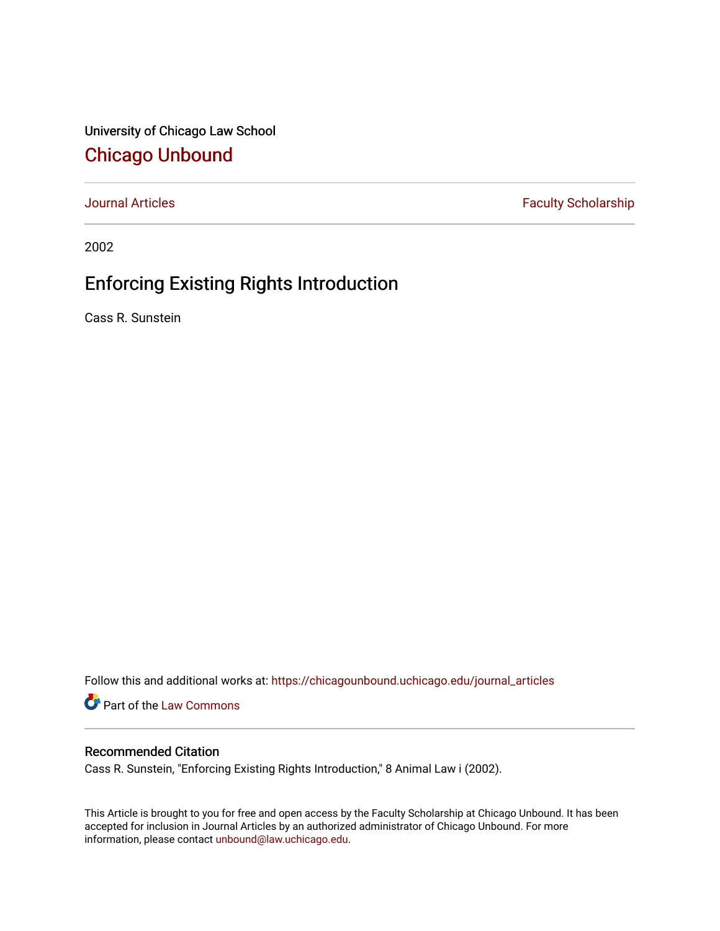University of Chicago Law School [Chicago Unbound](https://chicagounbound.uchicago.edu/)

[Journal Articles](https://chicagounbound.uchicago.edu/journal_articles) **Faculty Scholarship Faculty Scholarship** 

2002

# Enforcing Existing Rights Introduction

Cass R. Sunstein

Follow this and additional works at: [https://chicagounbound.uchicago.edu/journal\\_articles](https://chicagounbound.uchicago.edu/journal_articles?utm_source=chicagounbound.uchicago.edu%2Fjournal_articles%2F8368&utm_medium=PDF&utm_campaign=PDFCoverPages) 

Part of the [Law Commons](http://network.bepress.com/hgg/discipline/578?utm_source=chicagounbound.uchicago.edu%2Fjournal_articles%2F8368&utm_medium=PDF&utm_campaign=PDFCoverPages)

### Recommended Citation

Cass R. Sunstein, "Enforcing Existing Rights Introduction," 8 Animal Law i (2002).

This Article is brought to you for free and open access by the Faculty Scholarship at Chicago Unbound. It has been accepted for inclusion in Journal Articles by an authorized administrator of Chicago Unbound. For more information, please contact [unbound@law.uchicago.edu](mailto:unbound@law.uchicago.edu).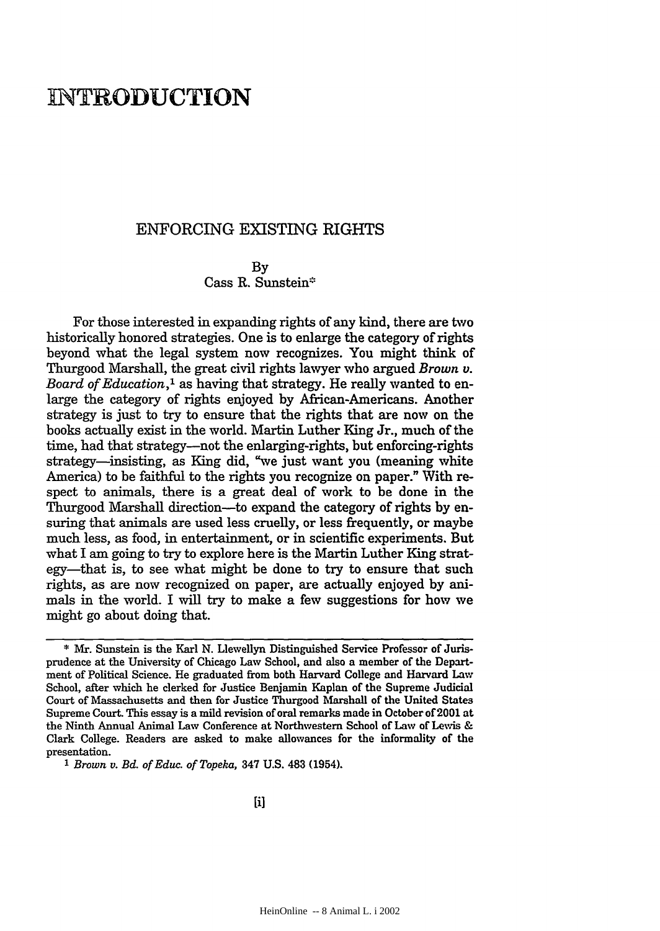## **INTRODUCTION**

### ENFORCING EXISTING RIGHTS

#### By Cass R. Sunstein\*

For those interested in expanding rights of any kind, there are two historically honored strategies. One is to enlarge the category of rights beyond what the legal system now recognizes. You might think of Thurgood Marshall, the great civil rights lawyer who argued *Brown v. Board of Education,1* as having that strategy. He really wanted to enlarge the category of rights enjoyed **by** African-Americans. Another strategy is just to try to ensure that the rights that are now on the books actually exist in the world. Martin Luther King Jr., much of the time, had that strategy-not the enlarging-rights, but enforcing-rights strategy-insisting, as King did, "we just want you (meaning white America) to be faithful to the rights you recognize on paper." With respect to animals, there is a great deal of work to be done in the Thurgood Marshall direction-to expand the category of rights by ensuring that animals are used less cruelly, or less frequently, or maybe much less, as food, in entertainment, or in scientific experiments. But what I am going to try to explore here is the Martin Luther King strategy—that is, to see what might be done to try to ensure that such rights, as are now recognized on paper, are actually enjoyed by animals in the world. I will try to make a few suggestions for how we might go about doing that.

<sup>\*</sup> Mr. Sunstein is the Karl **N.** Llewellyn Distinguished Service Professor of Jurisprudence at the University of Chicago Law School, and also a member of the Department of Political Science. He graduated from both Harvard College and Harvard **Law** School, after which he clerked for Justice Benjamin Kaplan of the Supreme Judicial Court of Massachusetts and then for Justice Thurgood Marshall of the United States Supreme Court. This essay is a mild revision of oral remarks made in October of 2001 at the Ninth Annual Animal Law Conference at Northwestern School of Law of Levis & Clark College. Readers are asked to make allowances for the informality of the presentation.

*<sup>1</sup> Brown v. Bd. of Educ. of Topeka,* 347 **U.S.** 483 (1954).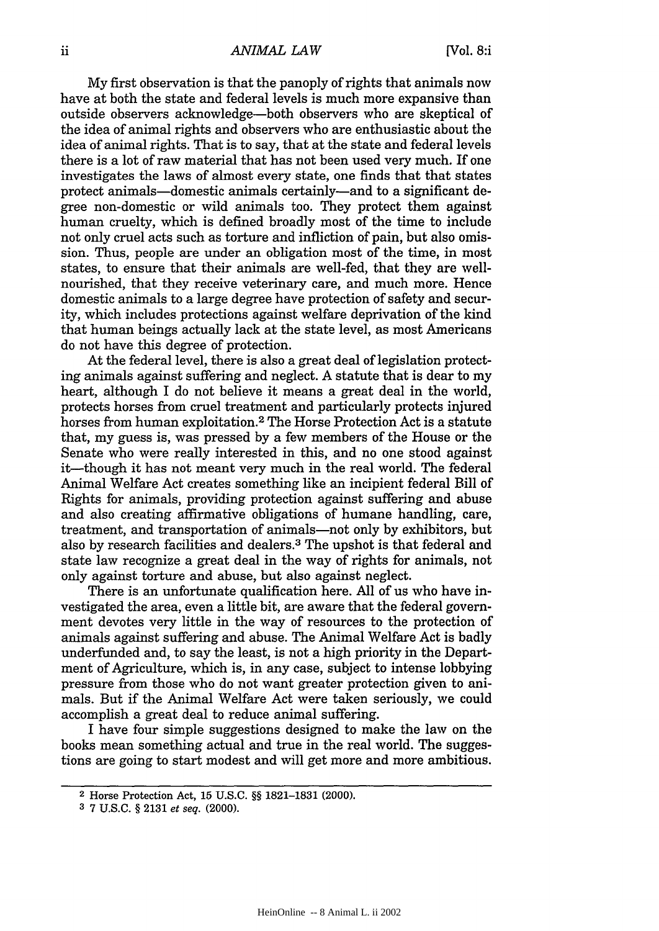My first observation is that the panoply of rights that animals now have at both the state and federal levels is much more expansive than outside observers acknowledge-both observers who are skeptical of the idea of animal rights and observers who are enthusiastic about the idea of animal rights. That is to say, that at the state and federal levels there is a lot of raw material that has not been used very much. If one investigates the laws of almost every state, one finds that that states protect animals-domestic animals certainly-and to a significant degree non-domestic or wild animals too. They protect them against human cruelty, which is defined broadly most of the time to include not only cruel acts such as torture and infliction of pain, but also omission. Thus, people are under an obligation most of the time, in most states, to ensure that their animals are well-fed, that they are wellnourished, that they receive veterinary care, and much more. Hence domestic animals to a large degree have protection of safety and security, which includes protections against welfare deprivation of the kind that human beings actually lack at the state level, as most Americans do not have this degree of protection.

At the federal level, there is also a great deal of legislation protecting animals against suffering and neglect. A statute that is dear to my heart, although I do not believe it means a great deal in the world, protects horses from cruel treatment and particularly protects injured horses from human exploitation. 2 The Horse Protection Act is a statute that, my guess is, was pressed by a few members of the House or the Senate who were really interested in this, and no one stood against it—though it has not meant very much in the real world. The federal Animal Welfare Act creates something like an incipient federal Bill of Rights for animals, providing protection against suffering and abuse and also creating affirmative obligations of humane handling, care, treatment, and transportation of animals-not only by exhibitors, but also by research facilities and dealers.3 The upshot is that federal and state law recognize a great deal in the way of rights for animals, not only against torture and abuse, but also against neglect.

There is an unfortunate qualification here. All of us who have investigated the area, even a little bit, are aware that the federal government devotes very little in the way of resources to the protection of animals against suffering and abuse. The Animal Welfare Act is badly underfunded and, to say the least, is not a high priority in the Department of Agriculture, which is, in any case, subject to intense lobbying pressure from those who do not want greater protection given to animals. But if the Animal Welfare Act were taken seriously, we could accomplish a great deal to reduce animal suffering.

I have four simple suggestions designed to make the law on the books mean something actual and true in the real world. The suggestions are going to start modest and will get more and more ambitious.

<sup>2</sup>Horse Protection Act, 15 U.S.C. §§ 1821-1831 (2000).

**<sup>3</sup>**7 U.S.C. § 2131 *et seq.* (2000).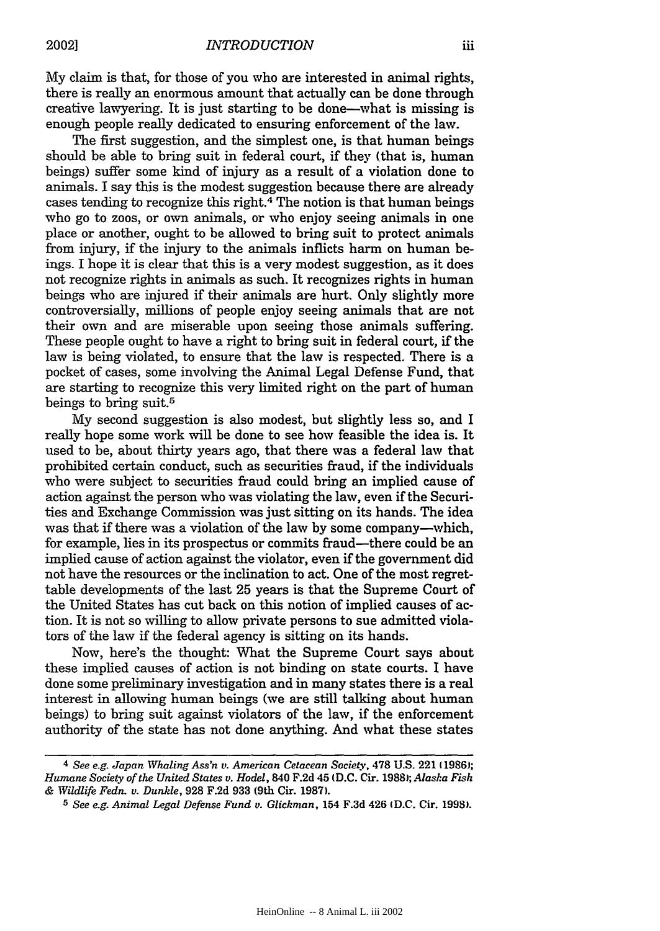**My** claim is that, for those of you who are interested in animal rights, there is really an enormous amount that actually can be done through creative lawyering. It is just starting to be done-what is missing is enough people really dedicated to ensuring enforcement of the law.

The first suggestion, and the simplest one, is that human beings should be able to bring suit in federal court, if they (that is, human beings) suffer some kind of injury as a result of a violation done to animals. I say this is the modest suggestion because there are already cases tending to recognize this right.4 The notion is that human beings who go to zoos, or own animals, or who enjoy seeing animals in one place or another, ought to be allowed to bring suit to protect animals from injury, if the injury to the animals inflicts harm on human beings. I hope it is clear that this is a very modest suggestion, as it does not recognize rights in animals as such. It recognizes rights in human beings who are injured if their animals are hurt. Only slightly more controversially, millions of people enjoy seeing animals that are not their own and are miserable upon seeing those animals suffering. These people ought to have a right to bring suit in federal court, if the law is being violated, to ensure that the law is respected. There is a pocket of cases, some involving the Animal Legal Defense Fund, that are starting to recognize this very limited right on the part of human beings to bring suit.5

My second suggestion is also modest, but slightly less so, and I really hope some work will be done to see how feasible the idea is. It used to be, about thirty years ago, that there was a federal law that prohibited certain conduct, such as securities fraud, if the individuals who were subject to securities fraud could bring an implied cause of action against the person who was violating the law, even if the Securities and Exchange Commission was just sitting on its hands. The idea was that if there was a violation of the law by some company—which, for example, lies in its prospectus or commits fraud-there could be an implied cause of action against the violator, even if the government did not have the resources or the inclination to act. One of the most regrettable developments of the last 25 years is that the Supreme Court of the United States has cut back on this notion of implied causes of action. It is not so willing to allow private persons to sue admitted violators of the law if the federal agency is sitting on its hands.

Now, here's the thought: What the Supreme Court says about these implied causes of action is not binding on state courts. I have done some preliminary investigation and in many states there is a real interest in allowing human beings (we are still talking about human beings) to bring suit against violators of the law, if the enforcement authority of the state has not done anything. And what these states

*<sup>4</sup> See e.g. Japan Whaling Ass'n v. American Cetacean Society,* **478 U.S.** 221 **(1986);** *Humane Society of the United States v. Hodel,* **840 F.2d 45 (D.C.** Cir. **1988);** *Alaska Fish & Wildlife Fedn- v. Dunkle,* **928 F.2d 933** (9th Cir. **1987).**

**<sup>5</sup>***See e.g. Animal Legal Defense Fund v. Glickman,* 154 **F.3d 426 (D.C.** Cir. **1998).**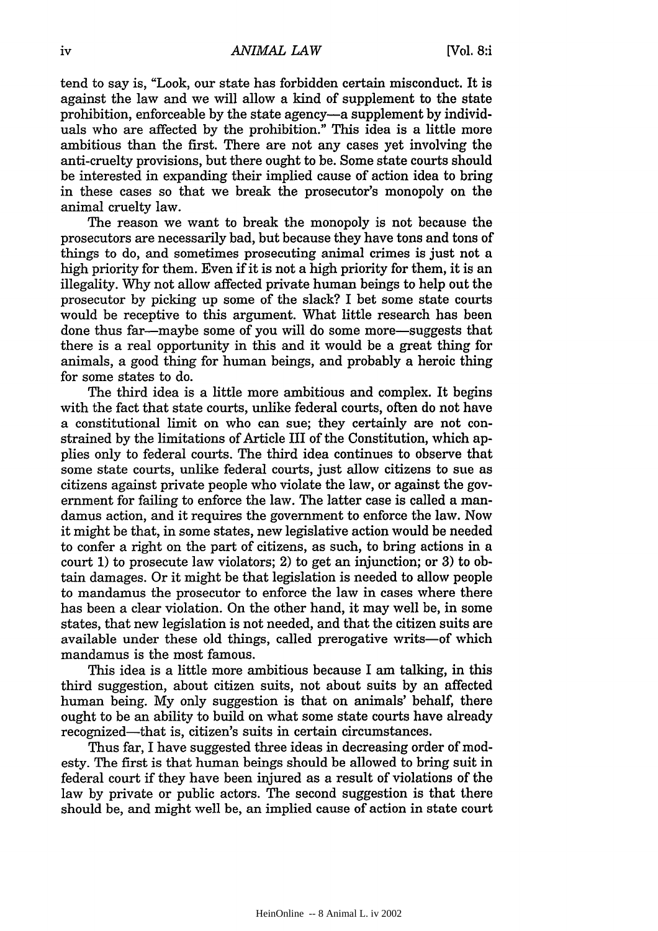tend to say is, "Look, our state has forbidden certain misconduct. It is against the law and we will allow a kind of supplement to the state prohibition, enforceable by the state agency-a supplement by individuals who are affected by the prohibition." This idea is a little more ambitious than the first. There are not any cases yet involving the anti-cruelty provisions, but there ought to be. Some state courts should be interested in expanding their implied cause of action idea to bring in these cases so that we break the prosecutor's monopoly on the animal cruelty law.

The reason we want to break the monopoly is not because the prosecutors are necessarily bad, but because they have tons and tons of things to do, and sometimes prosecuting animal crimes is just not a high priority for them. Even if it is not a high priority for them, it is an illegality. Why not allow affected private human beings to help out the prosecutor by picking up some of the slack? I bet some state courts would be receptive to this argument. What little research has been done thus far-maybe some of you will do some more-suggests that there is a real opportunity in this and it would be a great thing for animals, a good thing for human beings, and probably a heroic thing for some states to do.

The third idea is a little more ambitious and complex. It begins with the fact that state courts, unlike federal courts, often do not have a constitutional limit on who can sue; they certainly are not constrained by the limitations of Article III of the Constitution, which applies only to federal courts. The third idea continues to observe that some state courts, unlike federal courts, just allow citizens to sue as citizens against private people who violate the law, or against the government for failing to enforce the law. The latter case is called a mandamus action, and it requires the government to enforce the law. Now it might be that, in some states, new legislative action would be needed to confer a right on the part of citizens, as such, to bring actions in a court 1) to prosecute law violators; 2) to get an injunction; or 3) to obtain damages. Or it might be that legislation is needed to allow people to mandamus the prosecutor to enforce the law in cases where there has been a clear violation. On the other hand, it may well be, in some states, that new legislation is not needed, and that the citizen suits are available under these old things, called prerogative writs-of which mandamus is the most famous.

This idea is a little more ambitious because I am talking, in this third suggestion, about citizen suits, not about suits by an affected human being. My only suggestion is that on animals' behalf, there ought to be an ability to build on what some state courts have already recognized—that is, citizen's suits in certain circumstances.

Thus far, I have suggested three ideas in decreasing order of modesty. The first is that human beings should be allowed to bring suit in federal court if they have been injured as a result of violations of the law by private or public actors. The second suggestion is that there should be, and might well be, an implied cause of action in state court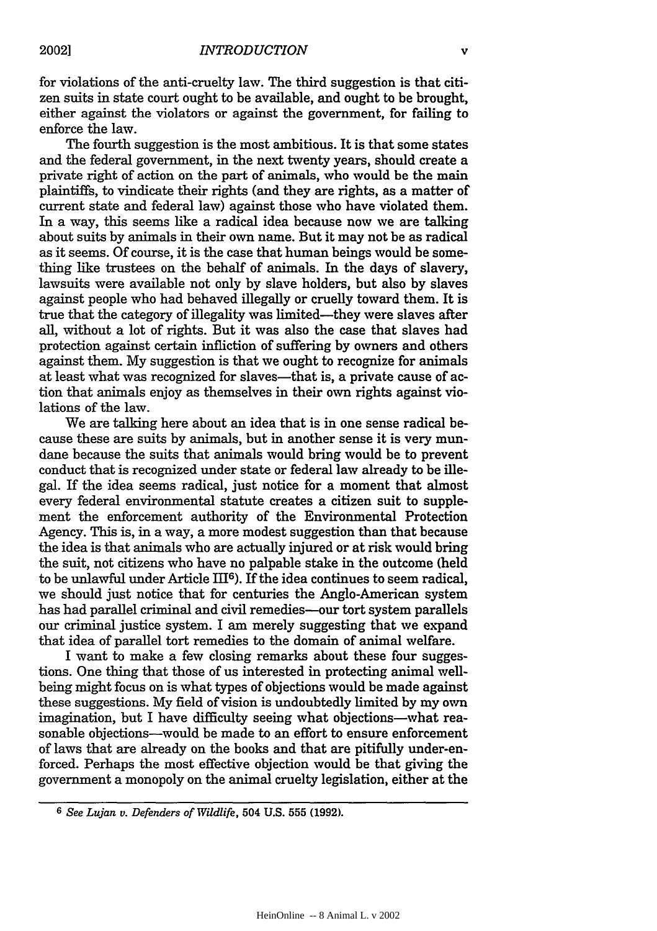for violations of the anti-cruelty law. The third suggestion is that citizen suits in state court ought to be available, and ought to be brought, either against the violators or against the government, for failing to enforce the law.

The fourth suggestion is the most ambitious. It is that some states and the federal government, in the next twenty years, should create a private right of action on the part of animals, who would be the main plaintiffs, to vindicate their rights (and they are rights, as a matter of current state and federal law) against those who have violated them. In a way, this seems like a radical idea because now we are talking about suits by animals in their own name. But it may not be as radical as it seems. Of course, it is the case that human beings would be something like trustees on the behalf of animals. In the days of slavery, lawsuits were available not only by slave holders, but also by slaves against people who had behaved illegally or cruelly toward them. It is true that the category of illegality was limited-they were slaves after all, without a lot of rights. But it was also the case that slaves had protection against certain infliction of suffering by owners and others against them. My suggestion is that we ought to recognize for animals at least what was recognized for slaves—that is, a private cause of action that animals enjoy as themselves in their own rights against violations of the law.

We are talking here about an idea that is in one sense radical because these are suits by animals, but in another sense it is very mundane because the suits that animals would bring would be to prevent conduct that is recognized under state or federal law already to be illegal. If the idea seems radical, just notice for a moment that almost every federal environmental statute creates a citizen suit to supplement the enforcement authority of the Environmental Protection Agency. This is, in a way, a more modest suggestion than that because the idea is that animals who are actually injured or at risk would bring the suit, not citizens who have no palpable stake in the outcome (held to be unlawful under Article III<sup>6</sup>). If the idea continues to seem radical, we should just notice that for centuries the Anglo-American system has had parallel criminal and civil remedies-our tort system parallels our criminal justice system. I am merely suggesting that we expand that idea of parallel tort remedies to the domain of animal welfare.

I want to make a few closing remarks about these four suggestions. One thing that those of us interested in protecting animal wellbeing might focus on is what types of objections would be made against these suggestions. My field of vision is undoubtedly limited by my own imagination, but I have difficulty seeing what objections-what reasonable objections-would be made to an effort to ensure enforcement of laws that are already on the books and that are pitifully under-enforced. Perhaps the most effective objection would be that giving the government a monopoly on the animal cruelty legislation, either at the

**<sup>6</sup>** *See Lujan v. Defenders of Wildlife,* 504 U.S. 555 (1992).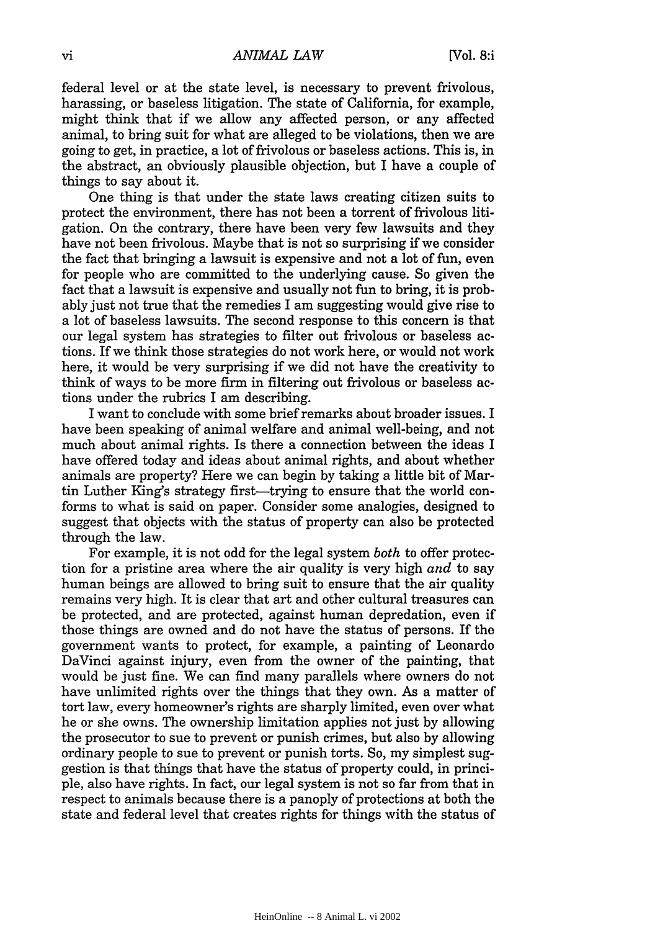federal level or at the state level, is necessary to prevent frivolous, harassing, or baseless litigation. The state of California, for example, might think that if we allow any affected person, or any affected animal, to bring suit for what are alleged to be violations, then we are going to get, in practice, a lot of frivolous or baseless actions. This is, in the abstract, an obviously plausible objection, but I have a couple of things to say about it.

One thing is that under the state laws creating citizen suits to protect the environment, there has not been a torrent of frivolous litigation. On the contrary, there have been very few lawsuits and they have not been frivolous. Maybe that is not so surprising if we consider the fact that bringing a lawsuit is expensive and not a lot of fun, even for people who are committed to the underlying cause. So given the fact that a lawsuit is expensive and usually not fun to bring, it is probably just not true that the remedies I am suggesting would give rise to a lot of baseless lawsuits. The second response to this concern is that our legal system has strategies to filter out frivolous or baseless actions. If we think those strategies do not work here, or would not work here, it would be very surprising if we did not have the creativity to think of ways to be more firm in filtering out frivolous or baseless actions under the rubrics I am describing.

I want to conclude with some brief remarks about broader issues. I have been speaking of animal welfare and animal well-being, and not much about animal rights. Is there a connection between the ideas I have offered today and ideas about animal rights, and about whether animals are property? Here we can begin by taking a little bit of Martin Luther King's strategy first—trying to ensure that the world conforms to what is said on paper. Consider some analogies, designed to suggest that objects with the status of property can also be protected through the law.

For example, it is not odd for the legal system *both* to offer protection for a pristine area where the air quality is very high *and* to say human beings are allowed to bring suit to ensure that the air quality remains very high. It is clear that art and other cultural treasures can be protected, and are protected, against human depredation, even if those things are owned and do not have the status of persons. If the government wants to protect, for example, a painting of Leonardo DaVinci against injury, even from the owner of the painting, that would be just fine. We can find many parallels where owners do not have unlimited rights over the things that they own. As a matter of tort law, every homeowner's rights are sharply limited, even over what he or she owns. The ownership limitation applies not just by allowing the prosecutor to sue to prevent or punish crimes, but also by allowing ordinary people to sue to prevent or punish torts. So, my simplest suggestion is that things that have the status of property could, in principle, also have rights. In fact, our legal system is not so far from that in respect to animals because there is a panoply of protections at both the state and federal level that creates rights for things with the status of